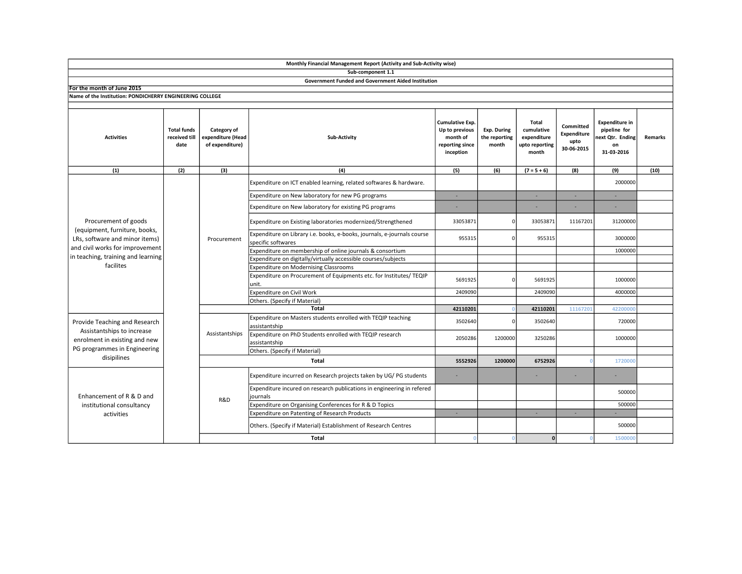|                                                                                                                                                                               |                                             |                                                     | Monthly Financial Management Report (Activity and Sub-Activity wise)                          |                                                                                      |                                              |                                                               |                                                |                                                                               |                |
|-------------------------------------------------------------------------------------------------------------------------------------------------------------------------------|---------------------------------------------|-----------------------------------------------------|-----------------------------------------------------------------------------------------------|--------------------------------------------------------------------------------------|----------------------------------------------|---------------------------------------------------------------|------------------------------------------------|-------------------------------------------------------------------------------|----------------|
|                                                                                                                                                                               |                                             |                                                     | Sub-component 1.1                                                                             |                                                                                      |                                              |                                                               |                                                |                                                                               |                |
|                                                                                                                                                                               |                                             |                                                     | <b>Government Funded and Government Aided Institution</b>                                     |                                                                                      |                                              |                                                               |                                                |                                                                               |                |
| For the month of June 2015                                                                                                                                                    |                                             |                                                     |                                                                                               |                                                                                      |                                              |                                                               |                                                |                                                                               |                |
| Name of the Institution: PONDICHERRY ENGINEERING COLLEGE                                                                                                                      |                                             |                                                     |                                                                                               |                                                                                      |                                              |                                                               |                                                |                                                                               |                |
| <b>Activities</b>                                                                                                                                                             | <b>Total funds</b><br>received till<br>date | Category of<br>expenditure (Head<br>of expenditure) | <b>Sub-Activity</b>                                                                           | <b>Cumulative Exp.</b><br>Up to previous<br>month of<br>reporting since<br>inception | <b>Exp. During</b><br>the reporting<br>month | Total<br>cumulative<br>expenditure<br>upto reporting<br>month | Committed<br>Expenditure<br>upto<br>30-06-2015 | <b>Expenditure in</b><br>pipeline for<br>next Qtr. Ending<br>on<br>31-03-2016 | <b>Remarks</b> |
| (1)                                                                                                                                                                           | (2)                                         | (3)                                                 | (4)                                                                                           | (5)                                                                                  | (6)                                          | $(7 = 5 + 6)$                                                 | (8)                                            | (9)                                                                           | (10)           |
| Procurement of goods<br>(equipment, furniture, books,<br>LRs, software and minor items)<br>and civil works for improvement<br>in teaching, training and learning<br>facilites |                                             | Procurement                                         | Expenditure on ICT enabled learning, related softwares & hardware.                            |                                                                                      |                                              |                                                               |                                                | 2000000                                                                       |                |
|                                                                                                                                                                               |                                             |                                                     | Expenditure on New laboratory for new PG programs                                             | ×                                                                                    |                                              | ×.                                                            | ÷.                                             | ÷.                                                                            |                |
|                                                                                                                                                                               |                                             |                                                     | Expenditure on New laboratory for existing PG programs                                        |                                                                                      |                                              |                                                               |                                                |                                                                               |                |
|                                                                                                                                                                               |                                             |                                                     | Expenditure on Existing laboratories modernized/Strengthened                                  | 33053871                                                                             |                                              | 33053871                                                      | 11167201                                       | 31200000                                                                      |                |
|                                                                                                                                                                               |                                             |                                                     | Expenditure on Library i.e. books, e-books, journals, e-journals course<br>specific softwares | 955315                                                                               | ŋ                                            | 955315                                                        |                                                | 3000000                                                                       |                |
|                                                                                                                                                                               |                                             |                                                     | Expenditure on membership of online journals & consortium                                     |                                                                                      |                                              |                                                               |                                                | 1000000                                                                       |                |
|                                                                                                                                                                               |                                             |                                                     | Expenditure on digitally/virtually accessible courses/subjects                                |                                                                                      |                                              |                                                               |                                                |                                                                               |                |
|                                                                                                                                                                               |                                             |                                                     | <b>Expenditure on Modernising Classrooms</b>                                                  |                                                                                      |                                              |                                                               |                                                |                                                                               |                |
|                                                                                                                                                                               |                                             |                                                     | Expenditure on Procurement of Equipments etc. for Institutes/ TEQIP<br>unit.                  | 5691925                                                                              |                                              | 5691925                                                       |                                                | 1000000                                                                       |                |
|                                                                                                                                                                               |                                             |                                                     | Expenditure on Civil Work                                                                     | 2409090                                                                              |                                              | 2409090                                                       |                                                | 4000000                                                                       |                |
|                                                                                                                                                                               |                                             |                                                     | Others. (Specify if Material)                                                                 |                                                                                      |                                              |                                                               |                                                |                                                                               |                |
|                                                                                                                                                                               |                                             |                                                     | <b>Total</b>                                                                                  | 42110201                                                                             |                                              | 42110201                                                      | 11167201                                       | 4220000                                                                       |                |
| Provide Teaching and Research<br>Assistantships to increase<br>enrolment in existing and new<br>PG programmes in Engineering<br>disipilines                                   |                                             | Assistantships                                      | Expenditure on Masters students enrolled with TEQIP teaching<br>assistantship                 | 3502640                                                                              |                                              | 3502640                                                       |                                                | 720000                                                                        |                |
|                                                                                                                                                                               |                                             |                                                     | Expenditure on PhD Students enrolled with TEQIP research<br>assistantship                     | 2050286                                                                              | 1200000                                      | 3250286                                                       |                                                | 1000000                                                                       |                |
|                                                                                                                                                                               |                                             |                                                     | Others. (Specify if Material)                                                                 |                                                                                      |                                              |                                                               |                                                |                                                                               |                |
|                                                                                                                                                                               |                                             |                                                     | 5552926                                                                                       | 1200000                                                                              | 6752926                                      |                                                               | 1720000                                        |                                                                               |                |
| Enhancement of R & D and<br>institutional consultancy<br>activities                                                                                                           |                                             | R&D                                                 | Expenditure incurred on Research projects taken by UG/PG students                             |                                                                                      |                                              |                                                               |                                                |                                                                               |                |
|                                                                                                                                                                               |                                             |                                                     | Expenditure incured on research publications in engineering in refered<br>journals            |                                                                                      |                                              |                                                               |                                                | 500000                                                                        |                |
|                                                                                                                                                                               |                                             |                                                     | Expenditure on Organising Conferences for R & D Topics                                        |                                                                                      |                                              |                                                               |                                                | 500000                                                                        |                |
|                                                                                                                                                                               |                                             |                                                     | Expenditure on Patenting of Research Products                                                 | ×.                                                                                   |                                              | $\sim$                                                        | ×.                                             |                                                                               |                |
|                                                                                                                                                                               |                                             |                                                     | Others. (Specify if Material) Establishment of Research Centres                               |                                                                                      |                                              |                                                               |                                                | 500000                                                                        |                |
|                                                                                                                                                                               |                                             |                                                     | <b>Total</b>                                                                                  | $\Omega$                                                                             |                                              | 0                                                             |                                                | 1500000                                                                       |                |